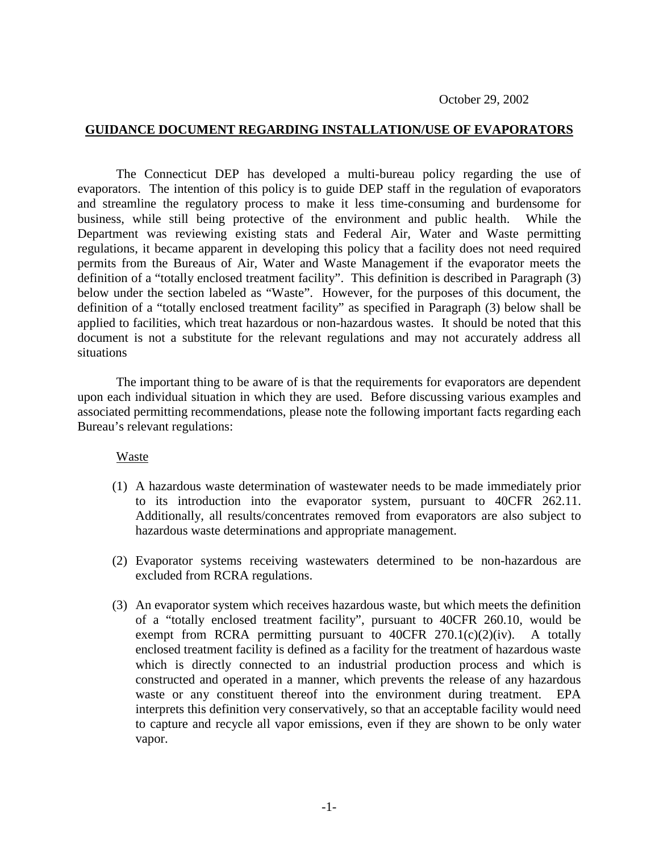## **GUIDANCE DOCUMENT REGARDING INSTALLATION/USE OF EVAPORATORS**

The Connecticut DEP has developed a multi-bureau policy regarding the use of evaporators. The intention of this policy is to guide DEP staff in the regulation of evaporators and streamline the regulatory process to make it less time-consuming and burdensome for business, while still being protective of the environment and public health. While the Department was reviewing existing stats and Federal Air, Water and Waste permitting regulations, it became apparent in developing this policy that a facility does not need required permits from the Bureaus of Air, Water and Waste Management if the evaporator meets the definition of a "totally enclosed treatment facility". This definition is described in Paragraph (3) below under the section labeled as "Waste". However, for the purposes of this document, the definition of a "totally enclosed treatment facility" as specified in Paragraph (3) below shall be applied to facilities, which treat hazardous or non-hazardous wastes. It should be noted that this document is not a substitute for the relevant regulations and may not accurately address all situations

The important thing to be aware of is that the requirements for evaporators are dependent upon each individual situation in which they are used. Before discussing various examples and associated permitting recommendations, please note the following important facts regarding each Bureau's relevant regulations:

### Waste

- (1) A hazardous waste determination of wastewater needs to be made immediately prior to its introduction into the evaporator system, pursuant to 40CFR 262.11. Additionally, all results/concentrates removed from evaporators are also subject to hazardous waste determinations and appropriate management.
- (2) Evaporator systems receiving wastewaters determined to be non-hazardous are excluded from RCRA regulations.
- (3) An evaporator system which receives hazardous waste, but which meets the definition of a "totally enclosed treatment facility", pursuant to 40CFR 260.10, would be exempt from RCRA permitting pursuant to  $40CFR$   $270.1(c)(2)(iv)$ . A totally enclosed treatment facility is defined as a facility for the treatment of hazardous waste which is directly connected to an industrial production process and which is constructed and operated in a manner, which prevents the release of any hazardous waste or any constituent thereof into the environment during treatment. EPA interprets this definition very conservatively, so that an acceptable facility would need to capture and recycle all vapor emissions, even if they are shown to be only water vapor.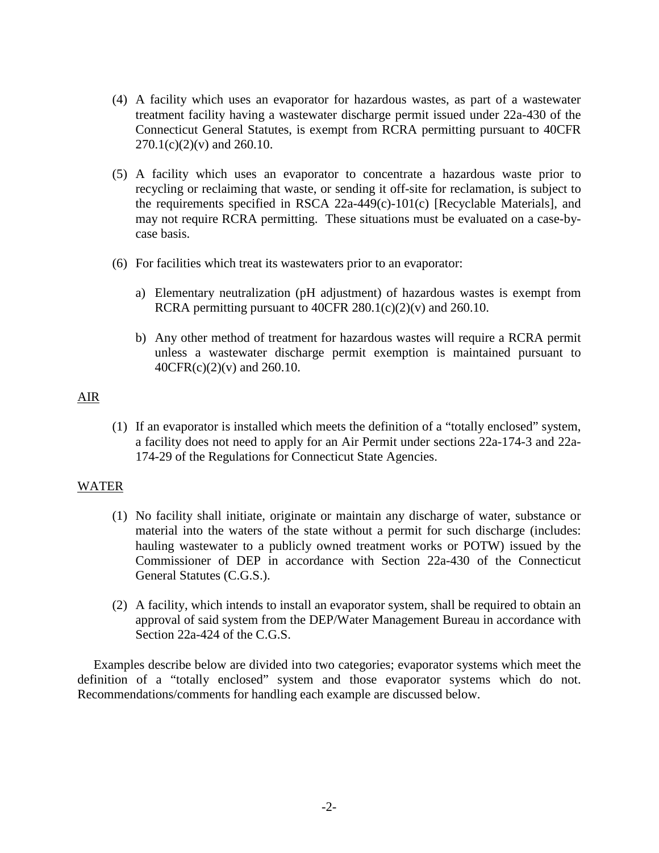- (4) A facility which uses an evaporator for hazardous wastes, as part of a wastewater treatment facility having a wastewater discharge permit issued under 22a-430 of the Connecticut General Statutes, is exempt from RCRA permitting pursuant to 40CFR  $270.1(c)(2)(v)$  and  $260.10$ .
- (5) A facility which uses an evaporator to concentrate a hazardous waste prior to recycling or reclaiming that waste, or sending it off-site for reclamation, is subject to the requirements specified in RSCA 22a-449(c)-101(c) [Recyclable Materials], and may not require RCRA permitting. These situations must be evaluated on a case-bycase basis.
- (6) For facilities which treat its wastewaters prior to an evaporator:
	- a) Elementary neutralization (pH adjustment) of hazardous wastes is exempt from RCRA permitting pursuant to 40CFR  $280.1(c)(2)(v)$  and  $260.10$ .
	- b) Any other method of treatment for hazardous wastes will require a RCRA permit unless a wastewater discharge permit exemption is maintained pursuant to 40CFR(c)(2)(v) and 260.10.

## AIR

(1) If an evaporator is installed which meets the definition of a "totally enclosed" system, a facility does not need to apply for an Air Permit under sections 22a-174-3 and 22a-174-29 of the Regulations for Connecticut State Agencies.

# WATER

- (1) No facility shall initiate, originate or maintain any discharge of water, substance or material into the waters of the state without a permit for such discharge (includes: hauling wastewater to a publicly owned treatment works or POTW) issued by the Commissioner of DEP in accordance with Section 22a-430 of the Connecticut General Statutes (C.G.S.).
- (2) A facility, which intends to install an evaporator system, shall be required to obtain an approval of said system from the DEP/Water Management Bureau in accordance with Section 22a-424 of the C.G.S.

 Examples describe below are divided into two categories; evaporator systems which meet the definition of a "totally enclosed" system and those evaporator systems which do not. Recommendations/comments for handling each example are discussed below.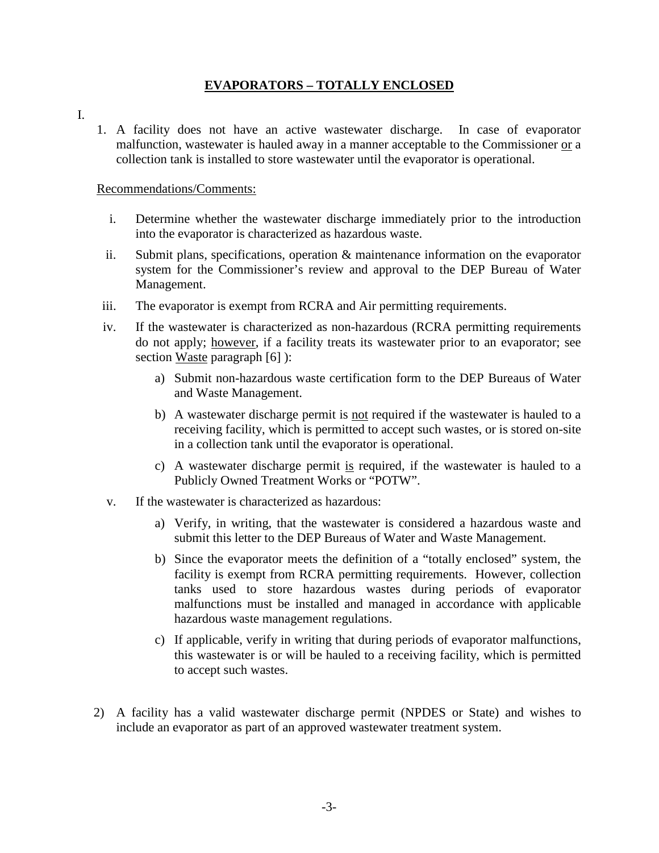# **EVAPORATORS – TOTALLY ENCLOSED**

- I.
- 1. A facility does not have an active wastewater discharge. In case of evaporator malfunction, wastewater is hauled away in a manner acceptable to the Commissioner or a collection tank is installed to store wastewater until the evaporator is operational.

## Recommendations/Comments:

- i. Determine whether the wastewater discharge immediately prior to the introduction into the evaporator is characterized as hazardous waste.
- ii. Submit plans, specifications, operation & maintenance information on the evaporator system for the Commissioner's review and approval to the DEP Bureau of Water Management.
- iii. The evaporator is exempt from RCRA and Air permitting requirements.
- iv. If the wastewater is characterized as non-hazardous (RCRA permitting requirements do not apply; however, if a facility treats its wastewater prior to an evaporator; see section Waste paragraph [6] ):
	- a) Submit non-hazardous waste certification form to the DEP Bureaus of Water and Waste Management.
	- b) A wastewater discharge permit is not required if the wastewater is hauled to a receiving facility, which is permitted to accept such wastes, or is stored on-site in a collection tank until the evaporator is operational.
	- c) A wastewater discharge permit is required, if the wastewater is hauled to a Publicly Owned Treatment Works or "POTW".
- v. If the wastewater is characterized as hazardous:
	- a) Verify, in writing, that the wastewater is considered a hazardous waste and submit this letter to the DEP Bureaus of Water and Waste Management.
	- b) Since the evaporator meets the definition of a "totally enclosed" system, the facility is exempt from RCRA permitting requirements. However, collection tanks used to store hazardous wastes during periods of evaporator malfunctions must be installed and managed in accordance with applicable hazardous waste management regulations.
	- c) If applicable, verify in writing that during periods of evaporator malfunctions, this wastewater is or will be hauled to a receiving facility, which is permitted to accept such wastes.
- 2) A facility has a valid wastewater discharge permit (NPDES or State) and wishes to include an evaporator as part of an approved wastewater treatment system.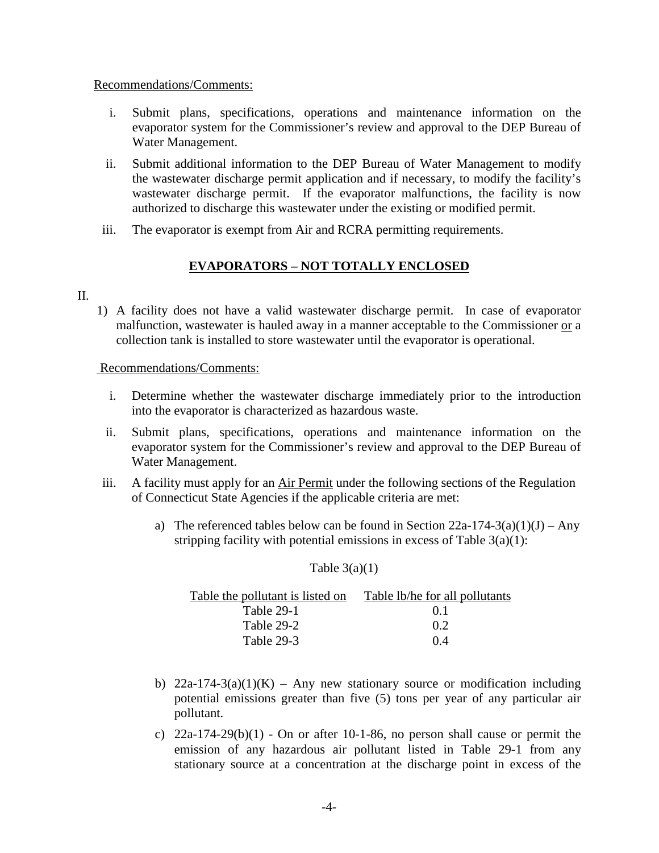#### Recommendations/Comments:

- i. Submit plans, specifications, operations and maintenance information on the evaporator system for the Commissioner's review and approval to the DEP Bureau of Water Management.
- ii. Submit additional information to the DEP Bureau of Water Management to modify the wastewater discharge permit application and if necessary, to modify the facility's wastewater discharge permit. If the evaporator malfunctions, the facility is now authorized to discharge this wastewater under the existing or modified permit.
- iii. The evaporator is exempt from Air and RCRA permitting requirements.

# **EVAPORATORS – NOT TOTALLY ENCLOSED**

#### II.

1) A facility does not have a valid wastewater discharge permit. In case of evaporator malfunction, wastewater is hauled away in a manner acceptable to the Commissioner or a collection tank is installed to store wastewater until the evaporator is operational.

#### Recommendations/Comments:

- i. Determine whether the wastewater discharge immediately prior to the introduction into the evaporator is characterized as hazardous waste.
- ii. Submit plans, specifications, operations and maintenance information on the evaporator system for the Commissioner's review and approval to the DEP Bureau of Water Management.
- iii. A facility must apply for an Air Permit under the following sections of the Regulation of Connecticut State Agencies if the applicable criteria are met:
	- a) The referenced tables below can be found in Section  $22a-174-3(a)(1)(J) Any$ stripping facility with potential emissions in excess of Table  $3(a)(1)$ :

#### Table  $3(a)(1)$

| Table the pollutant is listed on | Table lb/he for all pollutants |
|----------------------------------|--------------------------------|
| Table 29-1                       | 0 <sup>1</sup>                 |
| Table 29-2                       | 0.2                            |
| Table 29-3                       | 04                             |

- b) 22a-174-3(a)(1)(K) Any new stationary source or modification including potential emissions greater than five (5) tons per year of any particular air pollutant.
- c) 22a-174-29(b)(1) On or after 10-1-86, no person shall cause or permit the emission of any hazardous air pollutant listed in Table 29-1 from any stationary source at a concentration at the discharge point in excess of the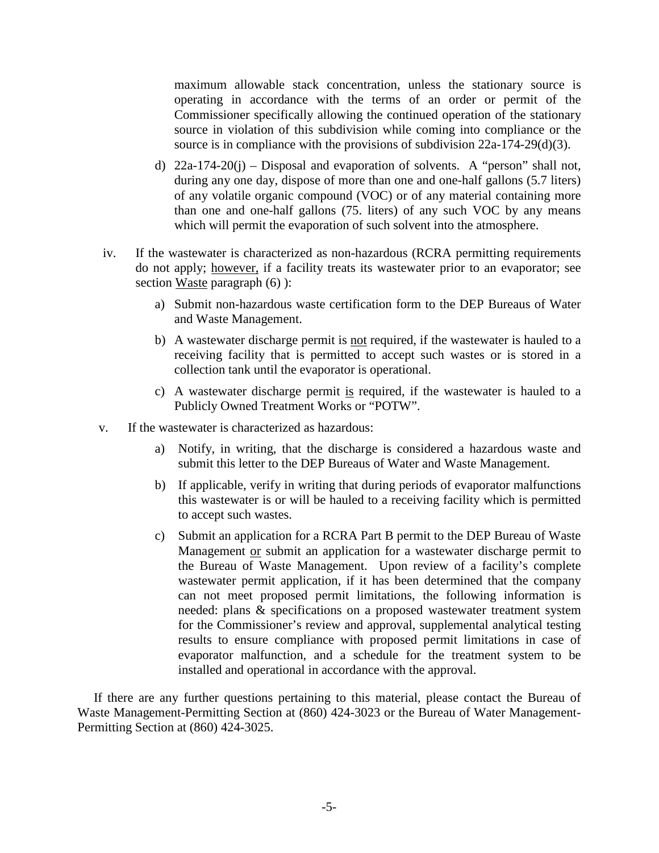maximum allowable stack concentration, unless the stationary source is operating in accordance with the terms of an order or permit of the Commissioner specifically allowing the continued operation of the stationary source in violation of this subdivision while coming into compliance or the source is in compliance with the provisions of subdivision 22a-174-29(d)(3).

- d) 22a-174-20(j) Disposal and evaporation of solvents. A "person" shall not, during any one day, dispose of more than one and one-half gallons (5.7 liters) of any volatile organic compound (VOC) or of any material containing more than one and one-half gallons (75. liters) of any such VOC by any means which will permit the evaporation of such solvent into the atmosphere.
- iv. If the wastewater is characterized as non-hazardous (RCRA permitting requirements do not apply; however, if a facility treats its wastewater prior to an evaporator; see section Waste paragraph  $(6)$  ):
	- a) Submit non-hazardous waste certification form to the DEP Bureaus of Water and Waste Management.
	- b) A wastewater discharge permit is not required, if the wastewater is hauled to a receiving facility that is permitted to accept such wastes or is stored in a collection tank until the evaporator is operational.
	- c) A wastewater discharge permit is required, if the wastewater is hauled to a Publicly Owned Treatment Works or "POTW".
- v. If the wastewater is characterized as hazardous:
	- a) Notify, in writing, that the discharge is considered a hazardous waste and submit this letter to the DEP Bureaus of Water and Waste Management.
	- b) If applicable, verify in writing that during periods of evaporator malfunctions this wastewater is or will be hauled to a receiving facility which is permitted to accept such wastes.
	- c) Submit an application for a RCRA Part B permit to the DEP Bureau of Waste Management or submit an application for a wastewater discharge permit to the Bureau of Waste Management. Upon review of a facility's complete wastewater permit application, if it has been determined that the company can not meet proposed permit limitations, the following information is needed: plans & specifications on a proposed wastewater treatment system for the Commissioner's review and approval, supplemental analytical testing results to ensure compliance with proposed permit limitations in case of evaporator malfunction, and a schedule for the treatment system to be installed and operational in accordance with the approval.

 If there are any further questions pertaining to this material, please contact the Bureau of Waste Management-Permitting Section at (860) 424-3023 or the Bureau of Water Management-Permitting Section at (860) 424-3025.